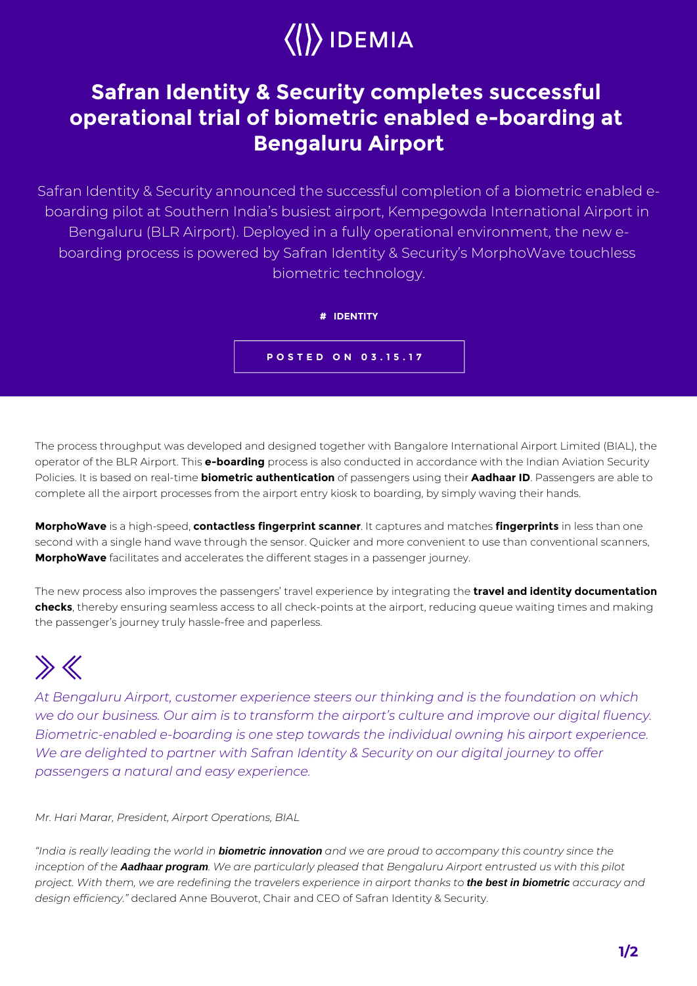## $\langle\langle\rangle\rangle$  IDEMIA

## **Safran Identity & Security completes successful operational trial of biometric enabled e-boarding at Bengaluru Airport**

Safran Identity & Security announced the successful completion of a biometric enabled eboarding pilot at Southern India's busiest airport, Kempegowda International Airport in Bengaluru (BLR Airport). Deployed in a fully operational environment, the new eboarding process is powered by Safran Identity & Security's MorphoWave touchless biometric technology.



**POSTED ON 03.15.17**

The process throughput was developed and designed together with Bangalore International Airport Limited (BIAL), the operator of the BLR Airport. This **e-boarding** process is also conducted in accordance with the Indian Aviation Security Policies. It is based on real-time **biometric authentication** of passengers using their **Aadhaar ID**. Passengers are able to complete all the airport processes from the airport entry kiosk to boarding, by simply waving their hands.

**MorphoWave** is a high-speed, **contactless fingerprint scanner**. It captures and matches **fingerprints** in less than one second with a single hand wave through the sensor. Quicker and more convenient to use than conventional scanners, **MorphoWave** facilitates and accelerates the different stages in a passenger journey.

The new process also improves the passengers' travel experience by integrating the **travel and identity documentation checks**, thereby ensuring seamless access to all check-points at the airport, reducing queue waiting times and making the passenger's journey truly hassle-free and paperless.

## $\gg K$

*At Bengaluru Airport, customer experience steers our thinking and is the foundation on which we do our business. Our aim is to transform the airport's culture and improve our digital fluency. Biometric-enabled e-boarding is one step towards the individual owning his airport experience. We are delighted to partner with Safran Identity & Security on our digital journey to offer passengers a natural and easy experience.*

*Mr. Hari Marar, President, Airport Operations, BIAL*

*"India is really leading the world in* **biometric innovation** *and we are proud to accompany this country since the inception of the* **Aadhaar program***. We are particularly pleased that Bengaluru Airport entrusted us with this pilot project. With them, we are redefining the travelers experience in airport thanks to* **the best in biometric** *accuracy and design efficiency."* declared Anne Bouverot, Chair and CEO of Safran Identity & Security.